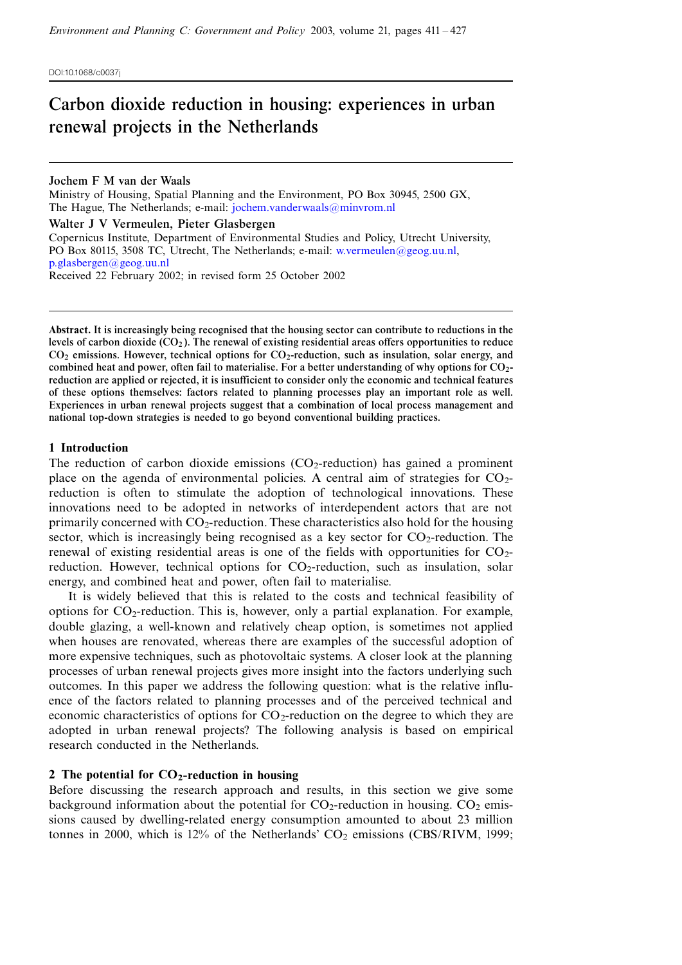#### DOI:10.1068/c0037j

# Carbon dioxide reduction in housing: experiences in urban renewal projects in the Netherlands

#### Jochem F M van der Waals

Ministry of Housing, Spatial Planning and the Environment, PO Box 30945, 2500 GX, The Hague, The Netherlands; e-mail: [jochem.vanderwaals@minvrom.nl](mailto:jochem.vanderwaals@minvrom.nl)

Walter J V Vermeulen, Pieter Glasbergen

Copernicus Institute, Department of Environmental Studies and Policy, Utrecht University, PO Box 80115, 3508 TC, Utrecht, The Netherlands; e-mail: [w.vermeulen@geog.uu.nl](mailto:w.vermeulen@geog.uu.nl), [p.glasbergen@geog.uu.nl](mailto:p.glasbergen@geog.uu.nl) Received 22 February 2002; in revised form 25 October 2002

Abstract. It is increasingly being recognised that the housing sector can contribute to reductions in the levels of carbon dioxide  $(CO<sub>2</sub>)$ . The renewal of existing residential areas offers opportunities to reduce  $CO<sub>2</sub>$  emissions. However, technical options for  $CO<sub>2</sub>$ -reduction, such as insulation, solar energy, and combined heat and power, often fail to materialise. For a better understanding of why options for CO2 reduction are applied or rejected, it is insufficient to consider only the economic and technical features of these options themselves: factors related to planning processes play an important role as well. Experiences in urban renewal projects suggest that a combination of local process management and national top-down strategies is needed to go beyond conventional building practices.

## 1 Introduction

The reduction of carbon dioxide emissions  $(CO<sub>2</sub>-reduction)$  has gained a prominent place on the agenda of environmental policies. A central aim of strategies for  $CO<sub>2</sub>$ reduction is often to stimulate the adoption of technological innovations. These innovations need to be adopted in networks of interdependent actors that are not primarily concerned with  $CO<sub>2</sub>$ -reduction. These characteristics also hold for the housing sector, which is increasingly being recognised as a key sector for  $CO<sub>2</sub>$ -reduction. The renewal of existing residential areas is one of the fields with opportunities for  $CO<sub>2</sub>$ reduction. However, technical options for  $CO<sub>2</sub>$ -reduction, such as insulation, solar energy, and combined heat and power, often fail to materialise.

It is widely believed that this is related to the costs and technical feasibility of options for  $CO_2$ -reduction. This is, however, only a partial explanation. For example, double glazing, a well-known and relatively cheap option, is sometimes not applied when houses are renovated, whereas there are examples of the successful adoption of more expensive techniques, such as photovoltaic systems. A closer look at the planning processes of urban renewal projects gives more insight into the factors underlying such outcomes. In this paper we address the following question: what is the relative influence of the factors related to planning processes and of the perceived technical and economic characteristics of options for  $CO_2$ -reduction on the degree to which they are adopted in urban renewal projects? The following analysis is based on empirical research conducted in the Netherlands.

## 2 The potential for  $CO<sub>2</sub>$ -reduction in housing

Before discussing the research approach and results, in this section we give some background information about the potential for  $CO_2$ -reduction in housing.  $CO_2$  emissions caused by dwelling-related energy consumption amounted to about 23 million tonnes in 2000, which is  $12\%$  of the Netherlands' CO<sub>2</sub> emissions (CBS/RIVM, 1999;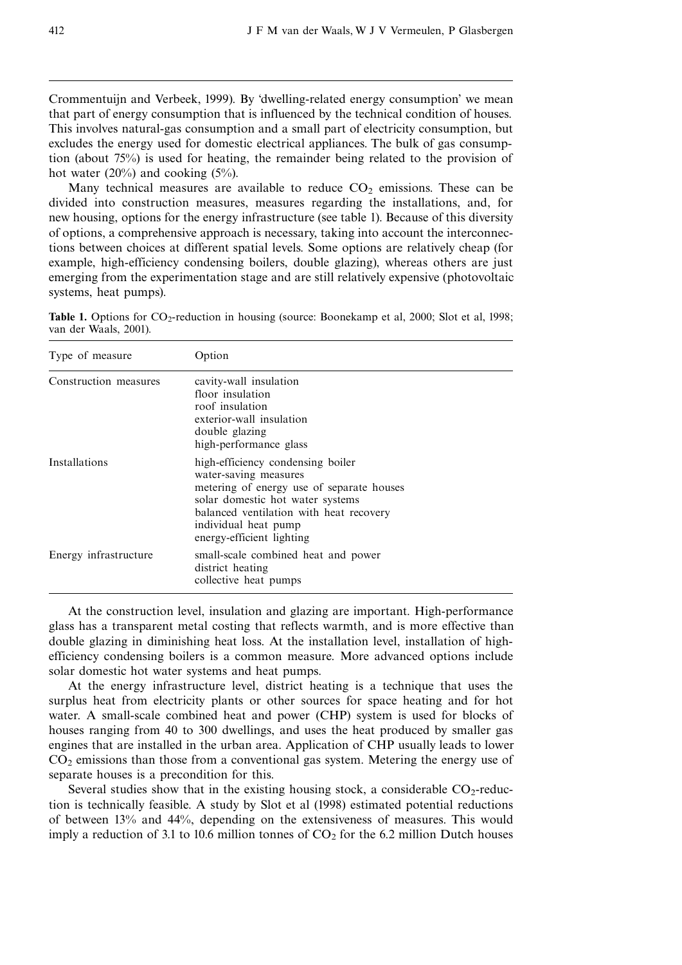Crommentuijn and Verbeek, 1999). By `dwelling-related energy consumption' we mean that part of energy consumption that is influenced by the technical condition of houses. This involves natural-gas consumption and a small part of electricity consumption, but excludes the energy used for domestic electrical appliances. The bulk of gas consumption (about 75%) is used for heating, the remainder being related to the provision of hot water  $(20\%)$  and cooking  $(5\%)$ .

Many technical measures are available to reduce  $CO<sub>2</sub>$  emissions. These can be divided into construction measures, measures regarding the installations, and, for new housing, options for the energy infrastructure (see table 1). Because of this diversity of options, a comprehensive approach is necessary, taking into account the interconnections between choices at different spatial levels. Some options are relatively cheap (for example, high-efficiency condensing boilers, double glazing), whereas others are just emerging from the experimentation stage and are still relatively expensive (photovoltaic systems, heat pumps).

**Table 1.** Options for  $CO_2$ -reduction in housing (source: Boonekamp et al, 2000; Slot et al, 1998; van der Waals, 2001).

| Type of measure       | Option                                                                                                                                                                                                                                      |
|-----------------------|---------------------------------------------------------------------------------------------------------------------------------------------------------------------------------------------------------------------------------------------|
| Construction measures | cavity-wall insulation<br>floor insulation<br>roof insulation<br>exterior-wall insulation<br>double glazing<br>high-performance glass                                                                                                       |
| Installations         | high-efficiency condensing boiler<br>water-saving measures<br>metering of energy use of separate houses<br>solar domestic hot water systems<br>balanced ventilation with heat recovery<br>individual heat pump<br>energy-efficient lighting |
| Energy infrastructure | small-scale combined heat and power<br>district heating<br>collective heat pumps                                                                                                                                                            |

At the construction level, insulation and glazing are important. High-performance glass has a transparent metal costing that reflects warmth, and is more effective than double glazing in diminishing heat loss. At the installation level, installation of highefficiency condensing boilers is a common measure. More advanced options include solar domestic hot water systems and heat pumps.

At the energy infrastructure level, district heating is a technique that uses the surplus heat from electricity plants or other sources for space heating and for hot water. A small-scale combined heat and power (CHP) system is used for blocks of houses ranging from 40 to 300 dwellings, and uses the heat produced by smaller gas engines that are installed in the urban area. Application of CHP usually leads to lower  $CO<sub>2</sub>$  emissions than those from a conventional gas system. Metering the energy use of separate houses is a precondition for this.

Several studies show that in the existing housing stock, a considerable  $CO_2$ -reduction is technically feasible. A study by Slot et al (1998) estimated potential reductions of between 13% and 44%, depending on the extensiveness of measures. This would imply a reduction of 3.1 to 10.6 million tonnes of  $CO<sub>2</sub>$  for the 6.2 million Dutch houses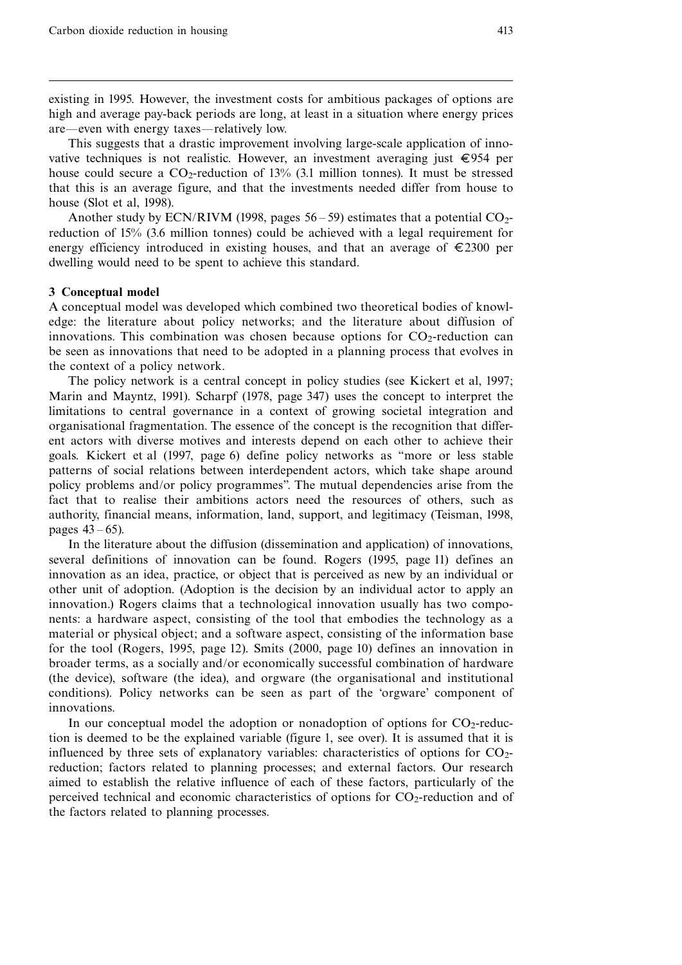existing in 1995. However, the investment costs for ambitious packages of options are high and average pay-back periods are long, at least in a situation where energy prices are—even with energy taxes—relatively low.

This suggests that a drastic improvement involving large-scale application of innovative techniques is not realistic. However, an investment averaging just  $\epsilon$ 954 per house could secure a  $CO_2$ -reduction of 13% (3.1 million tonnes). It must be stressed that this is an average figure, and that the investments needed differ from house to house (Slot et al, 1998).

Another study by ECN/RIVM (1998, pages  $56 - 59$ ) estimates that a potential CO<sub>2</sub>reduction of 15% (3.6 million tonnes) could be achieved with a legal requirement for energy efficiency introduced in existing houses, and that an average of  $\epsilon$ 2300 per dwelling would need to be spent to achieve this standard.

## 3 Conceptual model

A conceptual model was developed which combined two theoretical bodies of knowledge: the literature about policy networks; and the literature about diffusion of innovations. This combination was chosen because options for  $CO<sub>2</sub>$ -reduction can be seen as innovations that need to be adopted in a planning process that evolves in the context of a policy network.

The policy network is a central concept in policy studies (see Kickert et al, 1997; Marin and Mayntz, 1991). Scharpf (1978, page 347) uses the concept to interpret the limitations to central governance in a context of growing societal integration and organisational fragmentation. The essence of the concept is the recognition that different actors with diverse motives and interests depend on each other to achieve their goals. Kickert et al (1997, page 6) define policy networks as ``more or less stable patterns of social relations between interdependent actors, which take shape around policy problems and/or policy programmes''. The mutual dependencies arise from the fact that to realise their ambitions actors need the resources of others, such as authority, financial means, information, land, support, and legitimacy (Teisman, 1998, pages  $43 - 65$ ).

In the literature about the diffusion (dissemination and application) of innovations, several definitions of innovation can be found. Rogers (1995, page 11) defines an innovation as an idea, practice, or object that is perceived as new by an individual or other unit of adoption. (Adoption is the decision by an individual actor to apply an innovation.) Rogers claims that a technological innovation usually has two components: a hardware aspect, consisting of the tool that embodies the technology as a material or physical object; and a software aspect, consisting of the information base for the tool (Rogers, 1995, page 12). Smits (2000, page 10) defines an innovation in broader terms, as a socially and/or economically successful combination of hardware (the device), software (the idea), and orgware (the organisational and institutional conditions). Policy networks can be seen as part of the `orgware' component of innovations.

In our conceptual model the adoption or nonadoption of options for  $CO_2$ -reduction is deemed to be the explained variable (figure 1, see over). It is assumed that it is influenced by three sets of explanatory variables: characteristics of options for  $CO<sub>2</sub>$ reduction; factors related to planning processes; and external factors. Our research aimed to establish the relative influence of each of these factors, particularly of the perceived technical and economic characteristics of options for CO<sub>2</sub>-reduction and of the factors related to planning processes.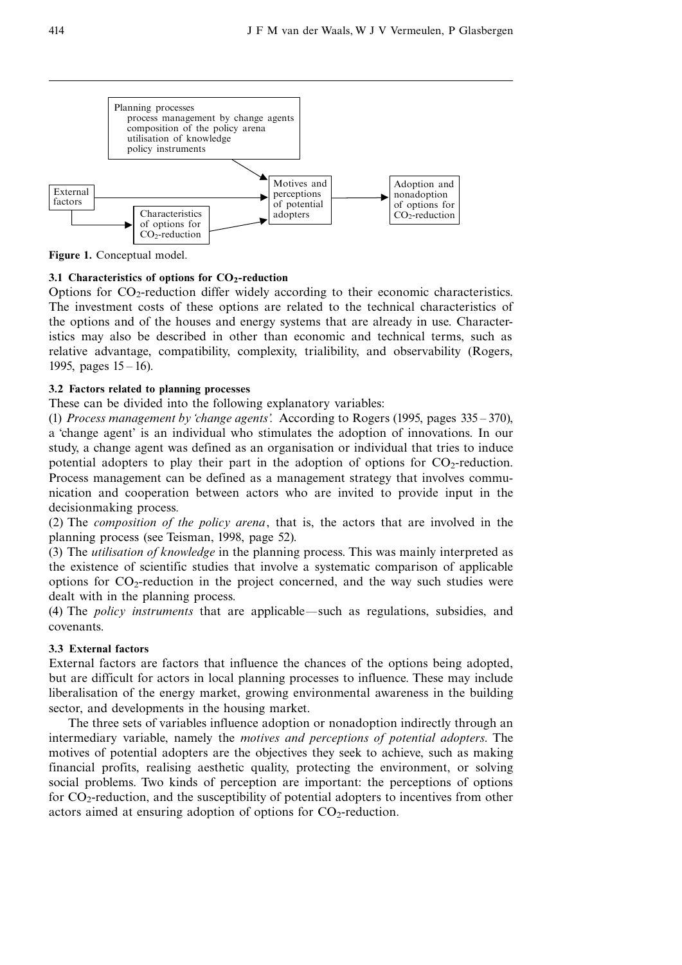

Figure 1. Conceptual model.

## 3.1 Characteristics of options for  $CO<sub>2</sub>$ -reduction

Options for CO2-reduction differ widely according to their economic characteristics. The investment costs of these options are related to the technical characteristics of the options and of the houses and energy systems that are already in use. Characteristics may also be described in other than economic and technical terms, such as relative advantage, compatibility, complexity, trialibility, and observability (Rogers, 1995, pages  $15 - 16$ ).

## 3.2 Factors related to planning processes

These can be divided into the following explanatory variables:

(1) Process management by 'change agents'. According to Rogers (1995, pages  $335 - 370$ ), a `change agent' is an individual who stimulates the adoption of innovations. In our study, a change agent was defined as an organisation or individual that tries to induce potential adopters to play their part in the adoption of options for  $CO<sub>2</sub>$ -reduction. Process management can be defined as a management strategy that involves communication and cooperation between actors who are invited to provide input in the decisionmaking process.

(2) The composition of the policy arena, that is, the actors that are involved in the planning process (see Teisman, 1998, page 52).

(3) The utilisation of knowledge in the planning process. This was mainly interpreted as the existence of scientific studies that involve a systematic comparison of applicable options for CO2-reduction in the project concerned, and the way such studies were dealt with in the planning process.

(4) The *policy instruments* that are applicable—such as regulations, subsidies, and covenants.

## 3.3 External factors

External factors are factors that influence the chances of the options being adopted, but are difficult for actors in local planning processes to influence. These may include liberalisation of the energy market, growing environmental awareness in the building sector, and developments in the housing market.

The three sets of variables influence adoption or nonadoption indirectly through an intermediary variable, namely the motives and perceptions of potential adopters. The motives of potential adopters are the objectives they seek to achieve, such as making financial profits, realising aesthetic quality, protecting the environment, or solving social problems. Two kinds of perception are important: the perceptions of options for  $CO_2$ -reduction, and the susceptibility of potential adopters to incentives from other actors aimed at ensuring adoption of options for  $CO<sub>2</sub>$ -reduction.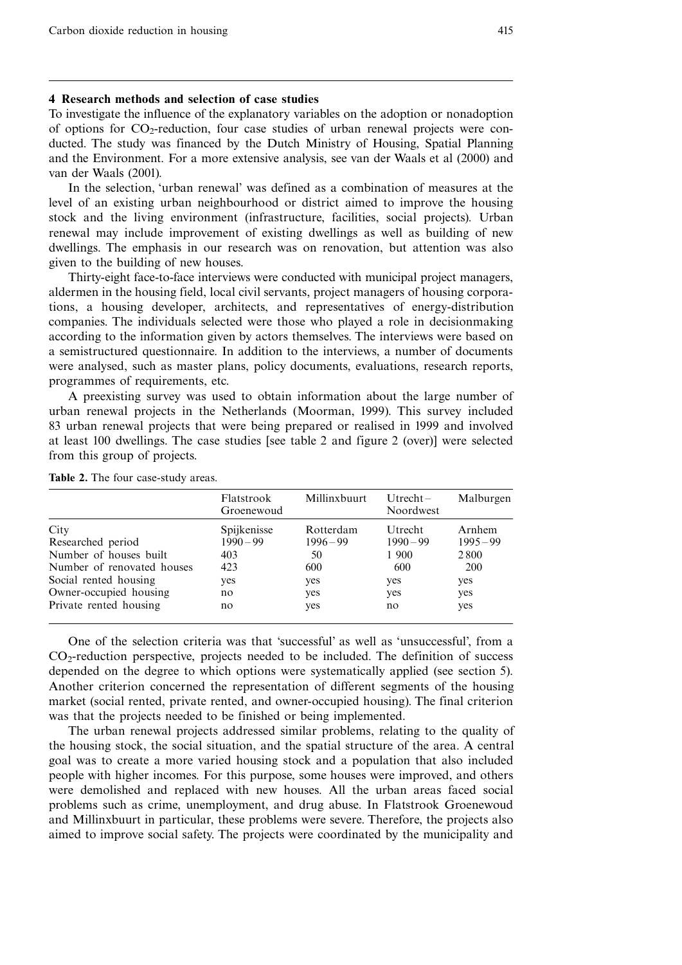#### 4 Research methods and selection of case studies

To investigate the influence of the explanatory variables on the adoption or nonadoption of options for CO2-reduction, four case studies of urban renewal projects were conducted. The study was financed by the Dutch Ministry of Housing, Spatial Planning and the Environment. For a more extensive analysis, see van der Waals et al (2000) and van der Waals (2001).

In the selection, `urban renewal' was defined as a combination of measures at the level of an existing urban neighbourhood or district aimed to improve the housing stock and the living environment (infrastructure, facilities, social projects). Urban renewal may include improvement of existing dwellings as well as building of new dwellings. The emphasis in our research was on renovation, but attention was also given to the building of new houses.

Thirty-eight face-to-face interviews were conducted with municipal project managers, aldermen in the housing field, local civil servants, project managers of housing corporations, a housing developer, architects, and representatives of energy-distribution companies. The individuals selected were those who played a role in decisionmaking according to the information given by actors themselves. The interviews were based on a semistructured questionnaire. In addition to the interviews, a number of documents were analysed, such as master plans, policy documents, evaluations, research reports, programmes of requirements, etc.

A preexisting survey was used to obtain information about the large number of urban renewal projects in the Netherlands (Moorman, 1999). This survey included 83 urban renewal projects that were being prepared or realised in 1999 and involved at least 100 dwellings. The case studies [see table 2 and figure 2 (over)] were selected from this group of projects.

|                            | Flatstrook<br>Groenewoud | Millinxbuurt | $U$ trecht $-$<br>Noordwest | Malburgen   |
|----------------------------|--------------------------|--------------|-----------------------------|-------------|
| City                       | Spijkenisse              | Rotterdam    | Utrecht                     | Arnhem      |
| Researched period          | $1990 - 99$              | $1996 - 99$  | $1990 - 99$                 | $1995 - 99$ |
| Number of houses built     | 403                      | 50           | 1 900                       | 2800        |
| Number of renovated houses | 423                      | 600          | 600                         | 200         |
| Social rented housing      | yes                      | yes          | yes                         | yes         |
| Owner-occupied housing     | no                       | yes          | yes                         | yes         |
| Private rented housing     | no                       | yes          | no                          | yes         |

Table 2. The four case-study areas.

One of the selection criteria was that `successful' as well as `unsuccessful', from a  $CO<sub>2</sub>$ -reduction perspective, projects needed to be included. The definition of success depended on the degree to which options were systematically applied (see section 5). Another criterion concerned the representation of different segments of the housing market (social rented, private rented, and owner-occupied housing). The final criterion was that the projects needed to be finished or being implemented.

The urban renewal projects addressed similar problems, relating to the quality of the housing stock, the social situation, and the spatial structure of the area. A central goal was to create a more varied housing stock and a population that also included people with higher incomes. For this purpose, some houses were improved, and others were demolished and replaced with new houses. All the urban areas faced social problems such as crime, unemployment, and drug abuse. In Flatstrook Groenewoud and Millinxbuurt in particular, these problems were severe. Therefore, the projects also aimed to improve social safety. The projects were coordinated by the municipality and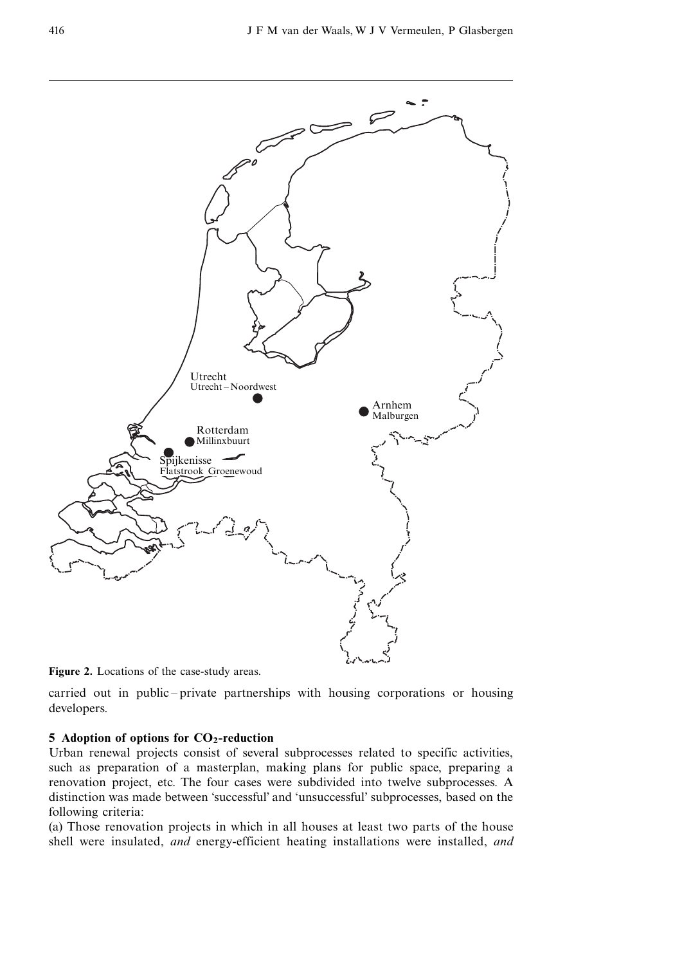

Figure 2. Locations of the case-study areas.

carried out in public-private partnerships with housing corporations or housing developers.

## 5 Adoption of options for  $CO<sub>2</sub>$ -reduction

Urban renewal projects consist of several subprocesses related to specific activities, such as preparation of a masterplan, making plans for public space, preparing a renovation project, etc. The four cases were subdivided into twelve subprocesses. A distinction was made between `successful' and `unsuccessful' subprocesses, based on the following criteria:

(a) Those renovation projects in which in all houses at least two parts of the house shell were insulated, and energy-efficient heating installations were installed, and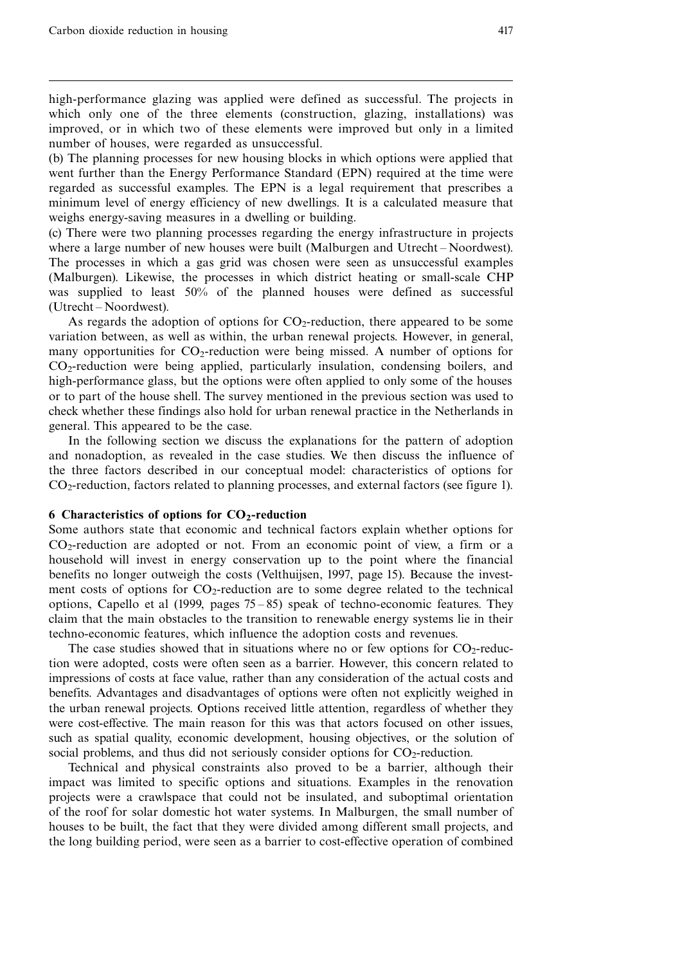high-performance glazing was applied were defined as successful. The projects in which only one of the three elements (construction, glazing, installations) was improved, or in which two of these elements were improved but only in a limited number of houses, were regarded as unsuccessful.

(b) The planning processes for new housing blocks in which options were applied that went further than the Energy Performance Standard (EPN) required at the time were regarded as successful examples. The EPN is a legal requirement that prescribes a minimum level of energy efficiency of new dwellings. It is a calculated measure that weighs energy-saving measures in a dwelling or building.

(c) There were two planning processes regarding the energy infrastructure in projects where a large number of new houses were built (Malburgen and Utrecht – Noordwest). The processes in which a gas grid was chosen were seen as unsuccessful examples (Malburgen). Likewise, the processes in which district heating or small-scale CHP was supplied to least 50% of the planned houses were defined as successful (Utrecht – Noordwest).

As regards the adoption of options for  $CO<sub>2</sub>$ -reduction, there appeared to be some variation between, as well as within, the urban renewal projects. However, in general, many opportunities for  $CO<sub>2</sub>$ -reduction were being missed. A number of options for CO2-reduction were being applied, particularly insulation, condensing boilers, and high-performance glass, but the options were often applied to only some of the houses or to part of the house shell. The survey mentioned in the previous section was used to check whether these findings also hold for urban renewal practice in the Netherlands in general. This appeared to be the case.

In the following section we discuss the explanations for the pattern of adoption and nonadoption, as revealed in the case studies. We then discuss the influence of the three factors described in our conceptual model: characteristics of options for CO2-reduction, factors related to planning processes, and external factors (see figure 1).

#### 6 Characteristics of options for  $CO<sub>2</sub>$ -reduction

Some authors state that economic and technical factors explain whether options for  $CO<sub>2</sub>$ -reduction are adopted or not. From an economic point of view, a firm or a household will invest in energy conservation up to the point where the financial benefits no longer outweigh the costs (Velthuijsen, 1997, page 15). Because the investment costs of options for  $CO_2$ -reduction are to some degree related to the technical options, Capello et al (1999, pages  $75 - 85$ ) speak of techno-economic features. They claim that the main obstacles to the transition to renewable energy systems lie in their techno-economic features, which influence the adoption costs and revenues.

The case studies showed that in situations where no or few options for  $CO<sub>2</sub>$ -reduction were adopted, costs were often seen as a barrier. However, this concern related to impressions of costs at face value, rather than any consideration of the actual costs and benefits. Advantages and disadvantages of options were often not explicitly weighed in the urban renewal projects. Options received little attention, regardless of whether they were cost-effective. The main reason for this was that actors focused on other issues, such as spatial quality, economic development, housing objectives, or the solution of social problems, and thus did not seriously consider options for  $CO<sub>2</sub>$ -reduction.

Technical and physical constraints also proved to be a barrier, although their impact was limited to specific options and situations. Examples in the renovation projects were a crawlspace that could not be insulated, and suboptimal orientation of the roof for solar domestic hot water systems. In Malburgen, the small number of houses to be built, the fact that they were divided among different small projects, and the long building period, were seen as a barrier to cost-effective operation of combined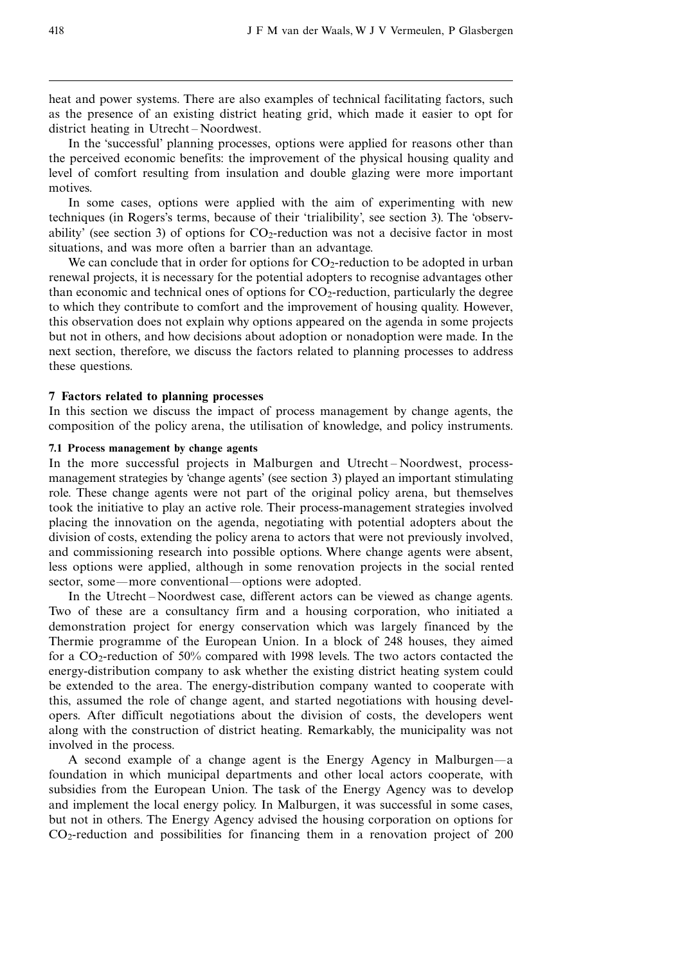heat and power systems. There are also examples of technical facilitating factors, such as the presence of an existing district heating grid, which made it easier to opt for district heating in Utrecht – Noordwest.

In the `successful' planning processes, options were applied for reasons other than the perceived economic benefits: the improvement of the physical housing quality and level of comfort resulting from insulation and double glazing were more important motives.

In some cases, options were applied with the aim of experimenting with new techniques (in Rogers's terms, because of their `trialibility', see section 3). The `observability' (see section 3) of options for  $CO<sub>2</sub>$ -reduction was not a decisive factor in most situations, and was more often a barrier than an advantage.

We can conclude that in order for options for  $CO<sub>2</sub>$ -reduction to be adopted in urban renewal projects, it is necessary for the potential adopters to recognise advantages other than economic and technical ones of options for  $CO<sub>2</sub>$ -reduction, particularly the degree to which they contribute to comfort and the improvement of housing quality. However, this observation does not explain why options appeared on the agenda in some projects but not in others, and how decisions about adoption or nonadoption were made. In the next section, therefore, we discuss the factors related to planning processes to address these questions.

## 7 Factors related to planning processes

In this section we discuss the impact of process management by change agents, the composition of the policy arena, the utilisation of knowledge, and policy instruments.

### 7.1 Process management by change agents

In the more successful projects in Malburgen and Utrecht – Noordwest, processmanagement strategies by 'change agents' (see section 3) played an important stimulating role. These change agents were not part of the original policy arena, but themselves took the initiative to play an active role. Their process-management strategies involved placing the innovation on the agenda, negotiating with potential adopters about the division of costs, extending the policy arena to actors that were not previously involved, and commissioning research into possible options. Where change agents were absent, less options were applied, although in some renovation projects in the social rented sector, some—more conventional—options were adopted.

In the Utrecht – Noordwest case, different actors can be viewed as change agents. Two of these are a consultancy firm and a housing corporation, who initiated a demonstration project for energy conservation which was largely financed by the Thermie programme of the European Union. In a block of 248 houses, they aimed for a  $CO<sub>2</sub>$ -reduction of 50% compared with 1998 levels. The two actors contacted the energy-distribution company to ask whether the existing district heating system could be extended to the area. The energy-distribution company wanted to cooperate with this, assumed the role of change agent, and started negotiations with housing developers. After difficult negotiations about the division of costs, the developers went along with the construction of district heating. Remarkably, the municipality was not involved in the process.

A second example of a change agent is the Energy Agency in Malburgen—a foundation in which municipal departments and other local actors cooperate, with subsidies from the European Union. The task of the Energy Agency was to develop and implement the local energy policy. In Malburgen, it was successful in some cases, but not in others. The Energy Agency advised the housing corporation on options for  $CO<sub>2</sub>$ -reduction and possibilities for financing them in a renovation project of 200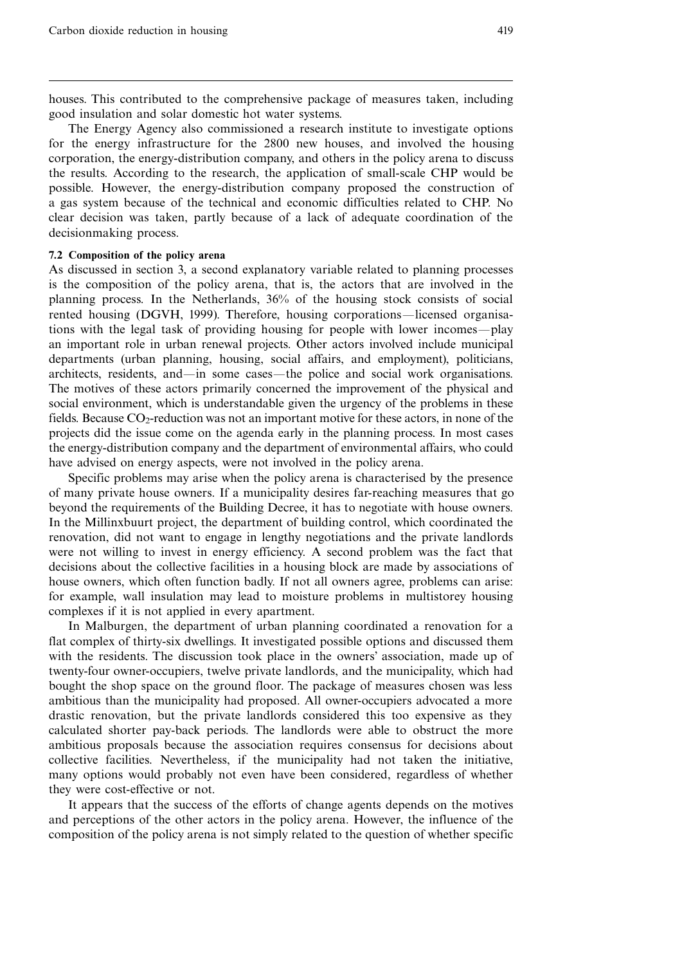houses. This contributed to the comprehensive package of measures taken, including good insulation and solar domestic hot water systems.

The Energy Agency also commissioned a research institute to investigate options for the energy infrastructure for the 2800 new houses, and involved the housing corporation, the energy-distribution company, and others in the policy arena to discuss the results. According to the research, the application of small-scale CHP would be possible. However, the energy-distribution company proposed the construction of a gas system because of the technical and economic difficulties related to CHP. No clear decision was taken, partly because of a lack of adequate coordination of the decisionmaking process.

## 7.2 Composition of the policy arena

As discussed in section 3, a second explanatory variable related to planning processes is the composition of the policy arena, that is, the actors that are involved in the planning process. In the Netherlands, 36% of the housing stock consists of social rented housing (DGVH, 1999). Therefore, housing corporations-licensed organisations with the legal task of providing housing for people with lower incomes—play an important role in urban renewal projects. Other actors involved include municipal departments (urban planning, housing, social affairs, and employment), politicians, architects, residents, and—in some cases—the police and social work organisations. The motives of these actors primarily concerned the improvement of the physical and social environment, which is understandable given the urgency of the problems in these fields. Because  $CO_2$ -reduction was not an important motive for these actors, in none of the projects did the issue come on the agenda early in the planning process. In most cases the energy-distribution company and the department of environmental affairs, who could have advised on energy aspects, were not involved in the policy arena.

Specific problems may arise when the policy arena is characterised by the presence of many private house owners. If a municipality desires far-reaching measures that go beyond the requirements of the Building Decree, it has to negotiate with house owners. In the Millinxbuurt project, the department of building control, which coordinated the renovation, did not want to engage in lengthy negotiations and the private landlords were not willing to invest in energy efficiency. A second problem was the fact that decisions about the collective facilities in a housing block are made by associations of house owners, which often function badly. If not all owners agree, problems can arise: for example, wall insulation may lead to moisture problems in multistorey housing complexes if it is not applied in every apartment.

In Malburgen, the department of urban planning coordinated a renovation for a flat complex of thirty-six dwellings. It investigated possible options and discussed them with the residents. The discussion took place in the owners' association, made up of twenty-four owner-occupiers, twelve private landlords, and the municipality, which had bought the shop space on the ground floor. The package of measures chosen was less ambitious than the municipality had proposed. All owner-occupiers advocated a more drastic renovation, but the private landlords considered this too expensive as they calculated shorter pay-back periods. The landlords were able to obstruct the more ambitious proposals because the association requires consensus for decisions about collective facilities. Nevertheless, if the municipality had not taken the initiative, many options would probably not even have been considered, regardless of whether they were cost-effective or not.

It appears that the success of the efforts of change agents depends on the motives and perceptions of the other actors in the policy arena. However, the influence of the composition of the policy arena is not simply related to the question of whether specific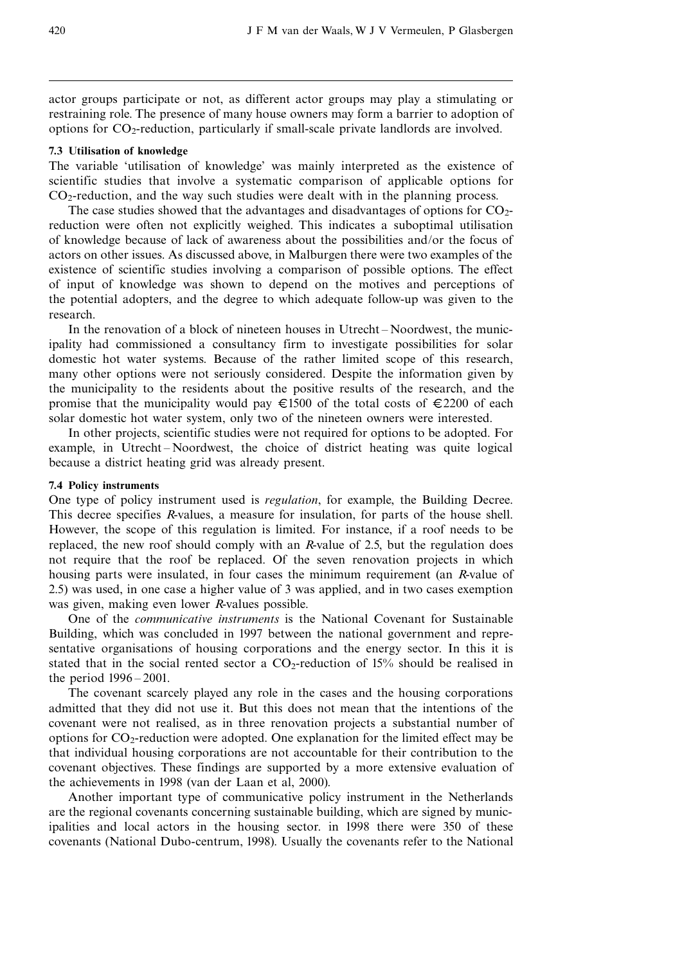actor groups participate or not, as different actor groups may play a stimulating or restraining role. The presence of many house owners may form a barrier to adoption of options for CO2-reduction, particularly if small-scale private landlords are involved.

## 7.3 Utilisation of knowledge

The variable `utilisation of knowledge' was mainly interpreted as the existence of scientific studies that involve a systematic comparison of applicable options for  $CO<sub>2</sub>$ -reduction, and the way such studies were dealt with in the planning process.

The case studies showed that the advantages and disadvantages of options for  $CO<sub>2</sub>$ reduction were often not explicitly weighed. This indicates a suboptimal utilisation of knowledge because of lack of awareness about the possibilities and/or the focus of actors on other issues. As discussed above, in Malburgen there were two examples of the existence of scientific studies involving a comparison of possible options. The effect of input of knowledge was shown to depend on the motives and perceptions of the potential adopters, and the degree to which adequate follow-up was given to the research.

In the renovation of a block of nineteen houses in Utrecht – Noordwest, the municipality had commissioned a consultancy firm to investigate possibilities for solar domestic hot water systems. Because of the rather limited scope of this research, many other options were not seriously considered. Despite the information given by the municipality to the residents about the positive results of the research, and the promise that the municipality would pay  $\epsilon$ 1500 of the total costs of  $\epsilon$ 2200 of each solar domestic hot water system, only two of the nineteen owners were interested.

In other projects, scientific studies were not required for options to be adopted. For example, in Utrecht-Noordwest, the choice of district heating was quite logical because a district heating grid was already present.

#### 7.4 Policy instruments

One type of policy instrument used is regulation, for example, the Building Decree. This decree specifies R-values, a measure for insulation, for parts of the house shell. However, the scope of this regulation is limited. For instance, if a roof needs to be replaced, the new roof should comply with an R-value of 2.5, but the regulation does not require that the roof be replaced. Of the seven renovation projects in which housing parts were insulated, in four cases the minimum requirement (an R-value of 2.5) was used, in one case a higher value of 3 was applied, and in two cases exemption was given, making even lower R-values possible.

One of the communicative instruments is the National Covenant for Sustainable Building, which was concluded in 1997 between the national government and representative organisations of housing corporations and the energy sector. In this it is stated that in the social rented sector a  $CO<sub>2</sub>$ -reduction of 15% should be realised in the period  $1996 - 2001$ .

The covenant scarcely played any role in the cases and the housing corporations admitted that they did not use it. But this does not mean that the intentions of the covenant were not realised, as in three renovation projects a substantial number of options for  $CO<sub>2</sub>$ -reduction were adopted. One explanation for the limited effect may be that individual housing corporations are not accountable for their contribution to the covenant objectives. These findings are supported by a more extensive evaluation of the achievements in 1998 (van der Laan et al, 2000).

Another important type of communicative policy instrument in the Netherlands are the regional covenants concerning sustainable building, which are signed by municipalities and local actors in the housing sector. in 1998 there were 350 of these covenants (National Dubo-centrum, 1998). Usually the covenants refer to the National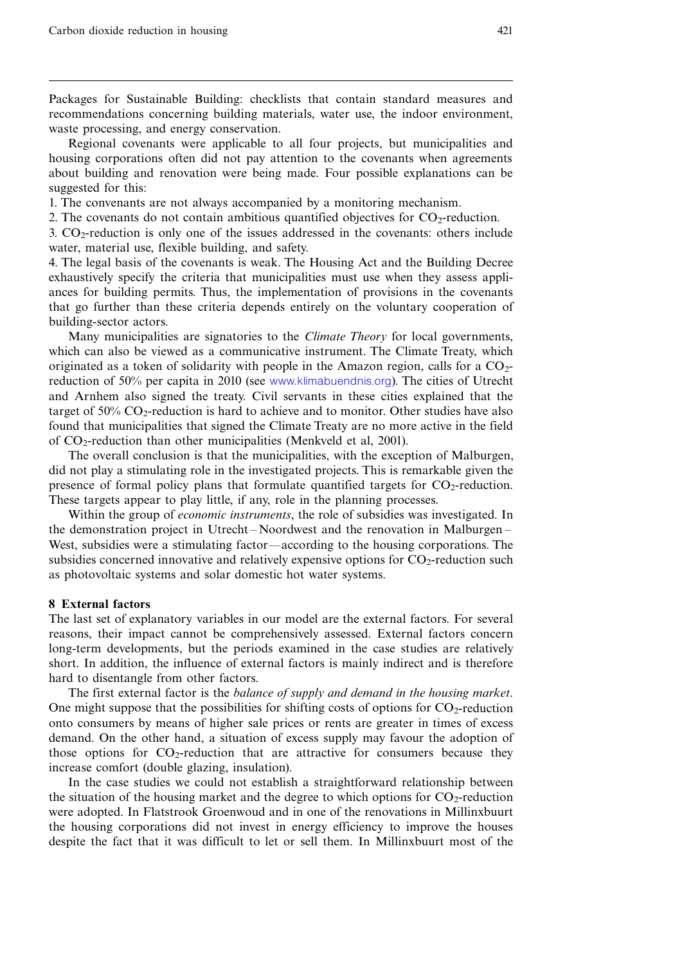Packages for Sustainable Building: checklists that contain standard measures and recommendations concerning building materials, water use, the indoor environment, waste processing, and energy conservation.

Regional covenants were applicable to all four projects, but municipalities and housing corporations often did not pay attention to the covenants when agreements about building and renovation were being made. Four possible explanations can be suggested for this:

1. The convenants are not always accompanied by a monitoring mechanism.

2. The covenants do not contain ambitious quantified objectives for  $CO_2$ -reduction.

3.  $CO<sub>2</sub>$ -reduction is only one of the issues addressed in the covenants: others include water, material use, flexible building, and safety.

4. The legal basis of the covenants is weak. The Housing Act and the Building Decree exhaustively specify the criteria that municipalities must use when they assess appliances for building permits. Thus, the implementation of provisions in the covenants that go further than these criteria depends entirely on the voluntary cooperation of building-sector actors.

Many municipalities are signatories to the *Climate Theory* for local governments, which can also be viewed as a communicative instrument. The Climate Treaty, which originated as a token of solidarity with people in the Amazon region, calls for a  $CO<sub>2</sub>$ reduction of 50% per capita in 2010 (see [www.klimabuendnis.org](http://www.klimabuendnis.org)). The cities of Utrecht and Arnhem also signed the treaty. Civil servants in these cities explained that the target of  $50\%$  CO<sub>2</sub>-reduction is hard to achieve and to monitor. Other studies have also found that municipalities that signed the Climate Treaty are no more active in the field of CO2-reduction than other municipalities (Menkveld et al, 2001).

The overall conclusion is that the municipalities, with the exception of Malburgen, did not play a stimulating role in the investigated projects. This is remarkable given the presence of formal policy plans that formulate quantified targets for  $CO<sub>2</sub>$ -reduction. These targets appear to play little, if any, role in the planning processes.

Within the group of *economic instruments*, the role of subsidies was investigated. In the demonstration project in Utrecht – Noordwest and the renovation in Malburgen – West, subsidies were a stimulating factor—according to the housing corporations. The subsidies concerned innovative and relatively expensive options for  $CO<sub>2</sub>$ -reduction such as photovoltaic systems and solar domestic hot water systems.

## 8 External factors

The last set of explanatory variables in our model are the external factors. For several reasons, their impact cannot be comprehensively assessed. External factors concern long-term developments, but the periods examined in the case studies are relatively short. In addition, the influence of external factors is mainly indirect and is therefore hard to disentangle from other factors.

The first external factor is the *balance of supply and demand in the housing market*. One might suppose that the possibilities for shifting costs of options for  $CO<sub>2</sub>$ -reduction onto consumers by means of higher sale prices or rents are greater in times of excess demand. On the other hand, a situation of excess supply may favour the adoption of those options for  $CO_2$ -reduction that are attractive for consumers because they increase comfort (double glazing, insulation).

In the case studies we could not establish a straightforward relationship between the situation of the housing market and the degree to which options for  $CO<sub>2</sub>$ -reduction were adopted. In Flatstrook Groenwoud and in one of the renovations in Millinxbuurt the housing corporations did not invest in energy efficiency to improve the houses despite the fact that it was difficult to let or sell them. In Millinxbuurt most of the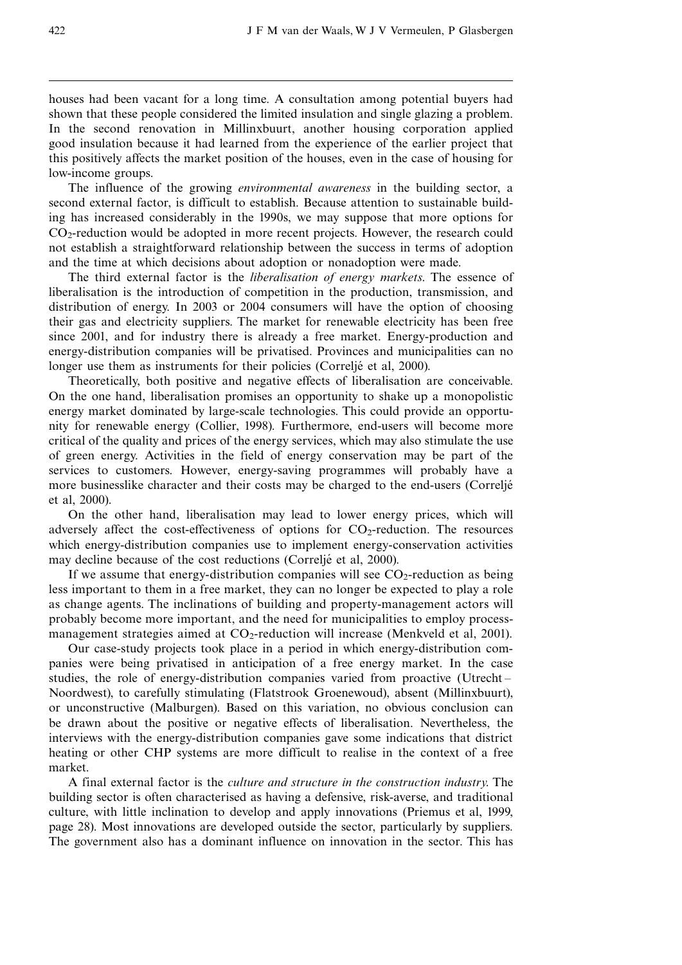houses had been vacant for a long time. A consultation among potential buyers had shown that these people considered the limited insulation and single glazing a problem. In the second renovation in Millinxbuurt, another housing corporation applied good insulation because it had learned from the experience of the earlier project that this positively affects the market position of the houses, even in the case of housing for low-income groups.

The influence of the growing *environmental awareness* in the building sector, a second external factor, is difficult to establish. Because attention to sustainable building has increased considerably in the 1990s, we may suppose that more options for CO2-reduction would be adopted in more recent projects. However, the research could not establish a straightforward relationship between the success in terms of adoption and the time at which decisions about adoption or nonadoption were made.

The third external factor is the *liberalisation of energy markets*. The essence of liberalisation is the introduction of competition in the production, transmission, and distribution of energy. In 2003 or 2004 consumers will have the option of choosing their gas and electricity suppliers. The market for renewable electricity has been free since 2001, and for industry there is already a free market. Energy-production and energy-distribution companies will be privatised. Provinces and municipalities can no longer use them as instruments for their policies (Correlié et al, 2000).

Theoretically, both positive and negative effects of liberalisation are conceivable. On the one hand, liberalisation promises an opportunity to shake up a monopolistic energy market dominated by large-scale technologies. This could provide an opportunity for renewable energy (Collier, 1998). Furthermore, end-users will become more critical of the quality and prices of the energy services, which may also stimulate the use of green energy. Activities in the field of energy conservation may be part of the services to customers. However, energy-saving programmes will probably have a more businesslike character and their costs may be charged to the end-users (Correljé et al, 2000).

On the other hand, liberalisation may lead to lower energy prices, which will adversely affect the cost-effectiveness of options for  $CO<sub>2</sub>$ -reduction. The resources which energy-distribution companies use to implement energy-conservation activities may decline because of the cost reductions (Correljé et al, 2000).

If we assume that energy-distribution companies will see  $CO<sub>2</sub>$ -reduction as being less important to them in a free market, they can no longer be expected to play a role as change agents. The inclinations of building and property-management actors will probably become more important, and the need for municipalities to employ processmanagement strategies aimed at CO<sub>2</sub>-reduction will increase (Menkveld et al, 2001).

Our case-study projects took place in a period in which energy-distribution companies were being privatised in anticipation of a free energy market. In the case studies, the role of energy-distribution companies varied from proactive (Utrecht ^ Noordwest), to carefully stimulating (Flatstrook Groenewoud), absent (Millinxbuurt), or unconstructive (Malburgen). Based on this variation, no obvious conclusion can be drawn about the positive or negative effects of liberalisation. Nevertheless, the interviews with the energy-distribution companies gave some indications that district heating or other CHP systems are more difficult to realise in the context of a free market.

A final external factor is the culture and structure in the construction industry. The building sector is often characterised as having a defensive, risk-averse, and traditional culture, with little inclination to develop and apply innovations (Priemus et al, 1999, page 28). Most innovations are developed outside the sector, particularly by suppliers. The government also has a dominant influence on innovation in the sector. This has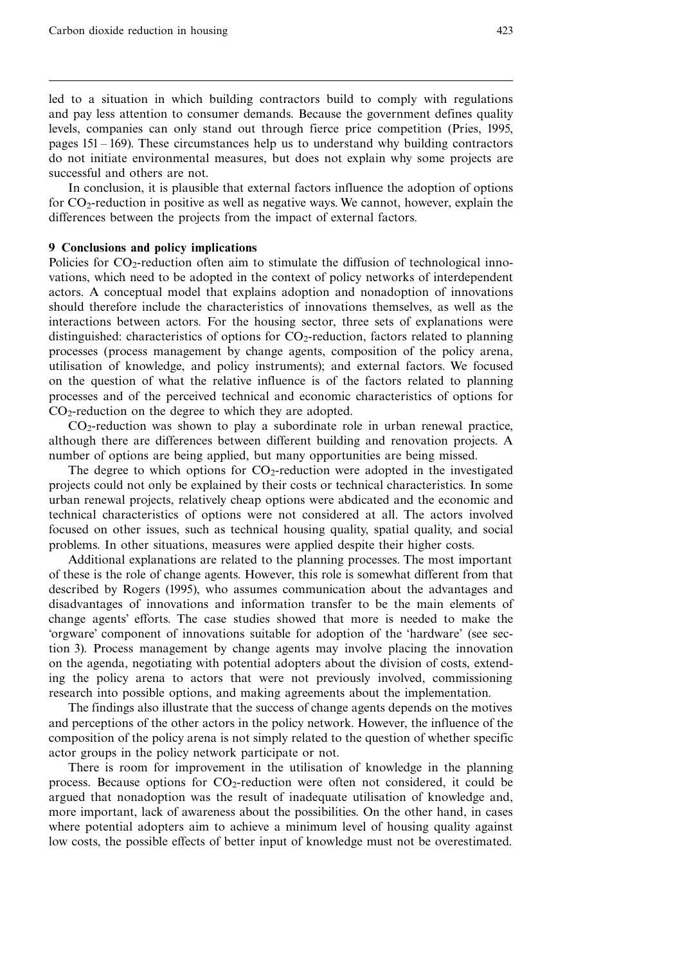led to a situation in which building contractors build to comply with regulations and pay less attention to consumer demands. Because the government defines quality levels, companies can only stand out through fierce price competition (Pries, 1995, pages  $151 - 169$ ). These circumstances help us to understand why building contractors do not initiate environmental measures, but does not explain why some projects are successful and others are not.

In conclusion, it is plausible that external factors influence the adoption of options for  $CO_2$ -reduction in positive as well as negative ways. We cannot, however, explain the differences between the projects from the impact of external factors.

## 9 Conclusions and policy implications

Policies for  $CO<sub>2</sub>$ -reduction often aim to stimulate the diffusion of technological innovations, which need to be adopted in the context of policy networks of interdependent actors. A conceptual model that explains adoption and nonadoption of innovations should therefore include the characteristics of innovations themselves, as well as the interactions between actors. For the housing sector, three sets of explanations were distinguished: characteristics of options for  $CO_2$ -reduction, factors related to planning processes (process management by change agents, composition of the policy arena, utilisation of knowledge, and policy instruments); and external factors. We focused on the question of what the relative influence is of the factors related to planning processes and of the perceived technical and economic characteristics of options for  $CO<sub>2</sub>$ -reduction on the degree to which they are adopted.

CO2-reduction was shown to play a subordinate role in urban renewal practice, although there are differences between different building and renovation projects. A number of options are being applied, but many opportunities are being missed.

The degree to which options for  $CO<sub>2</sub>$ -reduction were adopted in the investigated projects could not only be explained by their costs or technical characteristics. In some urban renewal projects, relatively cheap options were abdicated and the economic and technical characteristics of options were not considered at all. The actors involved focused on other issues, such as technical housing quality, spatial quality, and social problems. In other situations, measures were applied despite their higher costs.

Additional explanations are related to the planning processes. The most important of these is the role of change agents. However, this role is somewhat different from that described by Rogers (1995), who assumes communication about the advantages and disadvantages of innovations and information transfer to be the main elements of change agents' efforts. The case studies showed that more is needed to make the `orgware' component of innovations suitable for adoption of the `hardware' (see section 3). Process management by change agents may involve placing the innovation on the agenda, negotiating with potential adopters about the division of costs, extending the policy arena to actors that were not previously involved, commissioning research into possible options, and making agreements about the implementation.

The findings also illustrate that the success of change agents depends on the motives and perceptions of the other actors in the policy network. However, the influence of the composition of the policy arena is not simply related to the question of whether specific actor groups in the policy network participate or not.

There is room for improvement in the utilisation of knowledge in the planning process. Because options for  $CO<sub>2</sub>$ -reduction were often not considered, it could be argued that nonadoption was the result of inadequate utilisation of knowledge and, more important, lack of awareness about the possibilities. On the other hand, in cases where potential adopters aim to achieve a minimum level of housing quality against low costs, the possible effects of better input of knowledge must not be overestimated.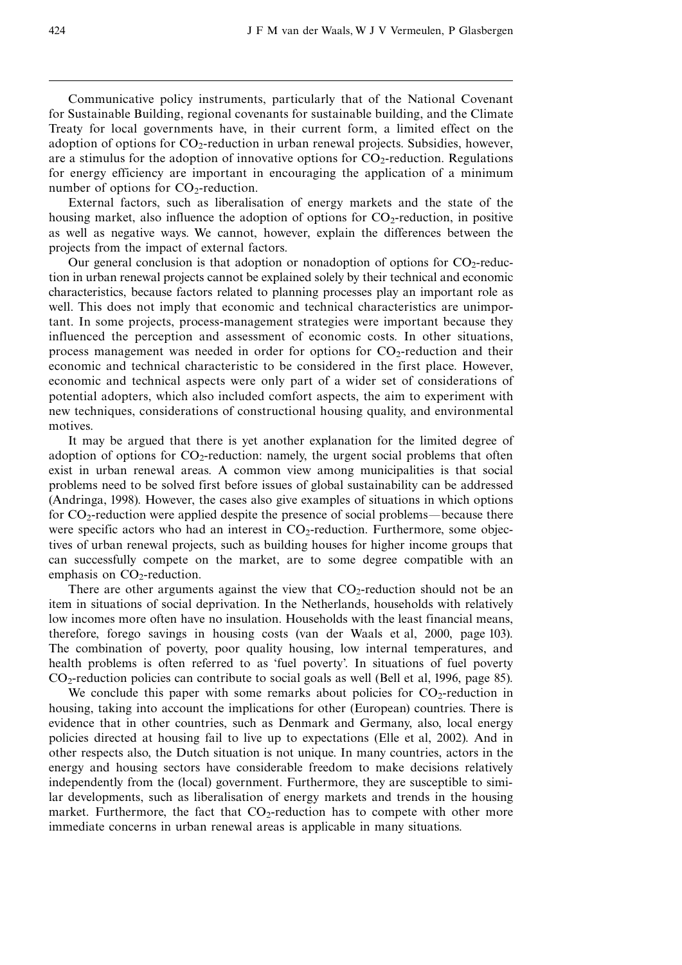Communicative policy instruments, particularly that of the National Covenant for Sustainable Building, regional covenants for sustainable building, and the Climate Treaty for local governments have, in their current form, a limited effect on the adoption of options for CO<sub>2</sub>-reduction in urban renewal projects. Subsidies, however, are a stimulus for the adoption of innovative options for  $CO<sub>2</sub>$ -reduction. Regulations for energy efficiency are important in encouraging the application of a minimum number of options for  $CO<sub>2</sub>$ -reduction.

External factors, such as liberalisation of energy markets and the state of the housing market, also influence the adoption of options for  $CO<sub>2</sub>$ -reduction, in positive as well as negative ways. We cannot, however, explain the differences between the projects from the impact of external factors.

Our general conclusion is that adoption or nonadoption of options for  $CO_2$ -reduction in urban renewal projects cannot be explained solely by their technical and economic characteristics, because factors related to planning processes play an important role as well. This does not imply that economic and technical characteristics are unimportant. In some projects, process-management strategies were important because they influenced the perception and assessment of economic costs. In other situations, process management was needed in order for options for  $CO<sub>2</sub>$ -reduction and their economic and technical characteristic to be considered in the first place. However, economic and technical aspects were only part of a wider set of considerations of potential adopters, which also included comfort aspects, the aim to experiment with new techniques, considerations of constructional housing quality, and environmental motives.

It may be argued that there is yet another explanation for the limited degree of adoption of options for  $CO<sub>2</sub>$ -reduction: namely, the urgent social problems that often exist in urban renewal areas. A common view among municipalities is that social problems need to be solved first before issues of global sustainability can be addressed (Andringa, 1998). However, the cases also give examples of situations in which options for  $CO<sub>2</sub>$ -reduction were applied despite the presence of social problems—because there were specific actors who had an interest in  $CO<sub>2</sub>$ -reduction. Furthermore, some objectives of urban renewal projects, such as building houses for higher income groups that can successfully compete on the market, are to some degree compatible with an emphasis on  $CO<sub>2</sub>$ -reduction.

There are other arguments against the view that  $CO<sub>2</sub>$ -reduction should not be an item in situations of social deprivation. In the Netherlands, households with relatively low incomes more often have no insulation. Households with the least financial means, therefore, forego savings in housing costs (van der Waals et al, 2000, page 103). The combination of poverty, poor quality housing, low internal temperatures, and health problems is often referred to as 'fuel poverty'. In situations of fuel poverty CO2-reduction policies can contribute to social goals as well (Bell et al, 1996, page 85).

We conclude this paper with some remarks about policies for  $CO<sub>2</sub>$ -reduction in housing, taking into account the implications for other (European) countries. There is evidence that in other countries, such as Denmark and Germany, also, local energy policies directed at housing fail to live up to expectations (Elle et al, 2002). And in other respects also, the Dutch situation is not unique. In many countries, actors in the energy and housing sectors have considerable freedom to make decisions relatively independently from the (local) government. Furthermore, they are susceptible to similar developments, such as liberalisation of energy markets and trends in the housing market. Furthermore, the fact that  $CO<sub>2</sub>$ -reduction has to compete with other more immediate concerns in urban renewal areas is applicable in many situations.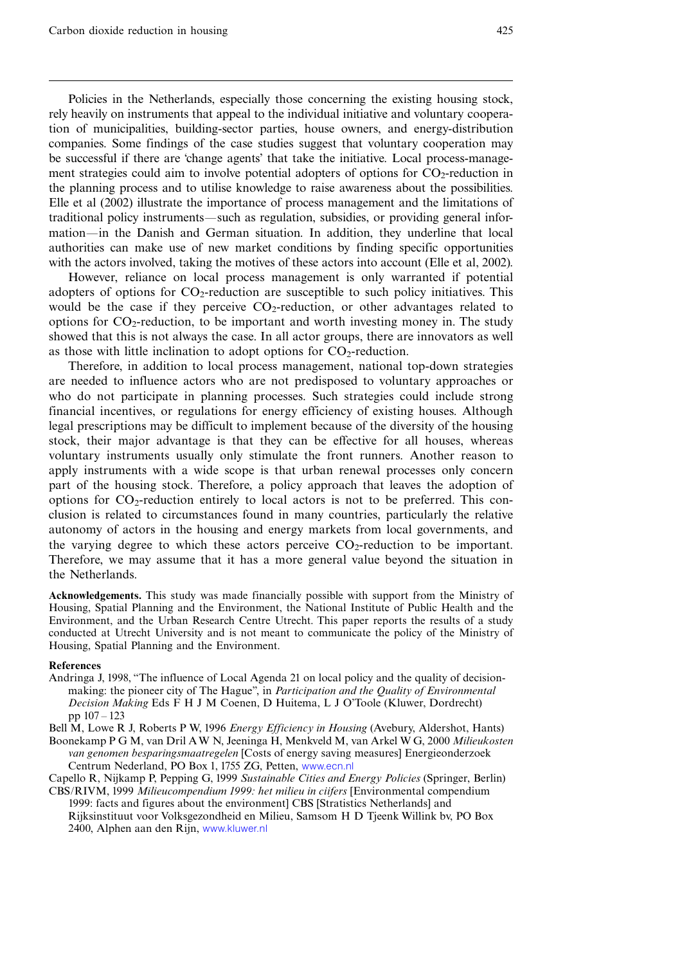Policies in the Netherlands, especially those concerning the existing housing stock, rely heavily on instruments that appeal to the individual initiative and voluntary cooperation of municipalities, building-sector parties, house owners, and energy-distribution companies. Some findings of the case studies suggest that voluntary cooperation may be successful if there are 'change agents' that take the initiative. Local process-management strategies could aim to involve potential adopters of options for  $CO<sub>2</sub>$ -reduction in the planning process and to utilise knowledge to raise awareness about the possibilities. Elle et al (2002) illustrate the importance of process management and the limitations of traditional policy instruments—such as regulation, subsidies, or providing general information—in the Danish and German situation. In addition, they underline that local authorities can make use of new market conditions by finding specific opportunities with the actors involved, taking the motives of these actors into account (Elle et al, 2002).

However, reliance on local process management is only warranted if potential adopters of options for CO<sub>2</sub>-reduction are susceptible to such policy initiatives. This would be the case if they perceive  $CO<sub>2</sub>$ -reduction, or other advantages related to options for  $CO_2$ -reduction, to be important and worth investing money in. The study showed that this is not always the case. In all actor groups, there are innovators as well as those with little inclination to adopt options for  $CO<sub>2</sub>$ -reduction.

Therefore, in addition to local process management, national top-down strategies are needed to influence actors who are not predisposed to voluntary approaches or who do not participate in planning processes. Such strategies could include strong financial incentives, or regulations for energy efficiency of existing houses. Although legal prescriptions may be difficult to implement because of the diversity of the housing stock, their major advantage is that they can be effective for all houses, whereas voluntary instruments usually only stimulate the front runners. Another reason to apply instruments with a wide scope is that urban renewal processes only concern part of the housing stock. Therefore, a policy approach that leaves the adoption of options for  $CO_2$ -reduction entirely to local actors is not to be preferred. This conclusion is related to circumstances found in many countries, particularly the relative autonomy of actors in the housing and energy markets from local governments, and the varying degree to which these actors perceive  $CO<sub>2</sub>$ -reduction to be important. Therefore, we may assume that it has a more general value beyond the situation in the Netherlands.

Acknowledgements. This study was made financially possible with support from the Ministry of Housing, Spatial Planning and the Environment, the National Institute of Public Health and the Environment, and the Urban Research Centre Utrecht. This paper reports the results of a study conducted at Utrecht University and is not meant to communicate the policy of the Ministry of Housing, Spatial Planning and the Environment.

#### References

Andringa J, 1998, "The influence of Local Agenda 21 on local policy and the quality of decisionmaking: the pioneer city of The Hague", in Participation and the Quality of Environmental Decision Making Eds F H J M Coenen, D Huitema, L J O'Toole (Kluwer, Dordrecht) pp  $107 - 123$ 

Bell M, Lowe R J, Roberts P W, 1996 *Energy Efficiency in Housing* (Avebury, Aldershot, Hants)

Boonekamp P G M, van Dril AW N, Jeeninga H, Menkveld M, van Arkel W G, 2000 Milieukosten van genomen besparingsmaatregelen [Costs of energy saving measures] Energieonderzoek Centrum Nederland, PO Box 1, 1755 ZG, Petten, [www.ecn.nl](http://www.ecn.nl)

- Capello R, Nijkamp P, Pepping G, 1999 Sustainable Cities and Energy Policies (Springer, Berlin) CBS/RIVM, 1999 Milieucompendium 1999: het milieu in ciifers [Environmental compendium
- 1999: facts and figures about the environment] CBS [Stratistics Netherlands] and Rijksinstituut voor Volksgezondheid en Milieu, Samsom H D Tjeenk Willink bv, PO Box 2400, Alphen aan den Rijn, [www.kluwer.nl](http://www.kluwer.nl)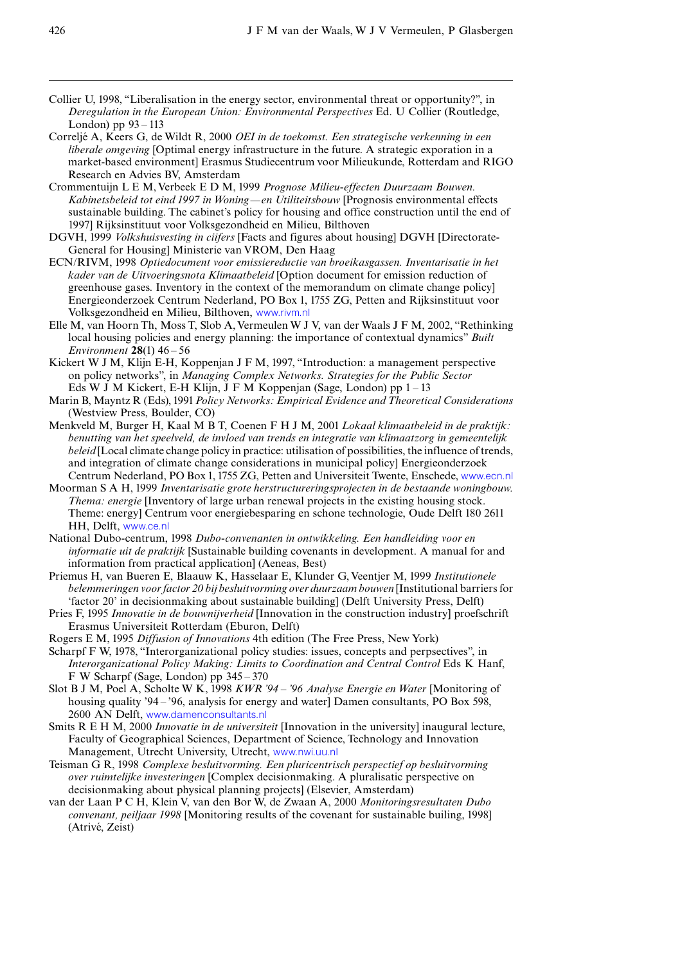- Collier U, 1998, "Liberalisation in the energy sector, environmental threat or opportunity?", in Deregulation in the European Union: Environmental Perspectives Ed. U Collier (Routledge, London) pp  $93 - 113$
- Correlié A, Keers G, de Wildt R, 2000 OEI in de toekomst. Een strategische verkenning in een liberale omgeving [Optimal energy infrastructure in the future. A strategic exporation in a market-based environment] Erasmus Studiecentrum voor Milieukunde, Rotterdam and RIGO Research en Advies BV, Amsterdam
- Crommentuijn L E M, Verbeek E D M, 1999 Prognose Milieu-effecten Duurzaam Bouwen. Kabinetsbeleid tot eind 1997 in Woning-en Utiliteitsbouw [Prognosis environmental effects sustainable building. The cabinet's policy for housing and office construction until the end of 1997] Rijksinstituut voor Volksgezondheid en Milieu, Bilthoven
- DGVH, 1999 Volkshuisvesting in ciifers [Facts and figures about housing] DGVH [Directorate-General for Housing] Ministerie van VROM, Den Haag
- ECN/RIVM, 1998 Optiedocument voor emissiereductie van broeikasgassen. Inventarisatie in het kader van de Uitvoeringsnota Klimaatbeleid [Option document for emission reduction of greenhouse gases. Inventory in the context of the memorandum on climate change policy] Energieonderzoek Centrum Nederland, PO Box 1, 1755 ZG, Petten and Rijksinstituut voor Volksgezondheid en Milieu, Bilthoven, [www.rivm.nl](http://www.rivm.nl)
- Elle M, van Hoorn Th, Moss T, Slob A, Vermeulen W J V, van der Waals J F M, 2002, "Rethinking local housing policies and energy planning: the importance of contextual dynamics" Built Environment  $28(1)$  46 – 56
- Kickert W J M, Klijn E-H, Koppenjan J F M, 1997, "Introduction: a management perspective on policy networks'', in Managing Complex Networks. Strategies for the Public Sector Eds W J M Kickert, E-H Klijn, J F M Koppenjan (Sage, London) pp  $1 - 13$
- Marin B, Mayntz R (Eds), 1991 Policy Networks: Empirical Evidence and Theoretical Considerations (Westview Press, Boulder, CO)
- Menkveld M, Burger H, Kaal M B T, Coenen F H J M, 2001 Lokaal klimaatbeleid in de praktijk: benutting van het speelveld, de invloed van trends en integratie van klimaatzorg in gemeentelijk beleid [Local climate change policy in practice: utilisation of possibilities, the influence of trends, and integration of climate change considerations in municipal policy] Energieonderzoek Centrum Nederland, PO Box 1, 1755 ZG, Petten and Universiteit Twente, Enschede, [www.ecn.nl](http://www.ecn.nl)
- Moorman S A H, 1999 Inventarisatie grote herstructureringsprojecten in de bestaande woningbouw. Thema: energie [Inventory of large urban renewal projects in the existing housing stock. Theme: energy] Centrum voor energiebesparing en schone technologie, Oude Delft 180 2611 HH, Delft, [www.ce.nl](http://www.ce.nl)
- National Dubo-centrum, 1998 Dubo-convenanten in ontwikkeling. Een handleiding voor en informatie uit de praktijk [Sustainable building covenants in development. A manual for and information from practical application] (Aeneas, Best)
- Priemus H, van Bueren E, Blaauw K, Hasselaar E, Klunder G, Veentjer M, 1999 Institutionele belemmeringen voor factor 20 bij besluitvorming over duurzaam bouwen [Institutional barriers for `factor 20' in decisionmaking about sustainable building] (Delft University Press, Delft)
- Pries F, 1995 Innovatie in de bouwnijverheid [Innovation in the construction industry] proefschrift Erasmus Universiteit Rotterdam (Eburon, Delft)
- Rogers E M, 1995 Diffusion of Innovations 4th edition (The Free Press, New York)
- Scharpf F W, 1978, "Interorganizational policy studies: issues, concepts and perpsectives", in Interorganizational Policy Making: Limits to Coordination and Central Control Eds K Hanf,  $F W$  Scharpf (Sage, London) pp  $345 - 370$
- Slot B J M, Poel A, Scholte W K, 1998 KWR '94 '96 Analyse Energie en Water [Monitoring of housing quality '94 – '96, analysis for energy and water] Damen consultants, PO Box 598, 2600 AN Delft, [www.damenconsultants.nl](http://www.damenconsultants.nl)
- Smits R E H M, 2000 *Innovatie in de universiteit* [Innovation in the university] inaugural lecture, Faculty of Geographical Sciences, Department of Science, Technology and Innovation Management, Utrecht University, Utrecht, [www.nwi.uu.nl](http://www.nwi.uu.nl)
- Teisman G R, 1998 Complexe besluitvorming. Een pluricentrisch perspectief op besluitvorming over ruimtelijke investeringen [Complex decisionmaking. A pluralisatic perspective on decisionmaking about physical planning projects] (Elsevier, Amsterdam)
- van der Laan P C H, Klein V, van den Bor W, de Zwaan A, 2000 Monitoringsresultaten Dubo convenant, peiljaar 1998 [Monitoring results of the covenant for sustainable builing, 1998] (Atrivé, Zeist)